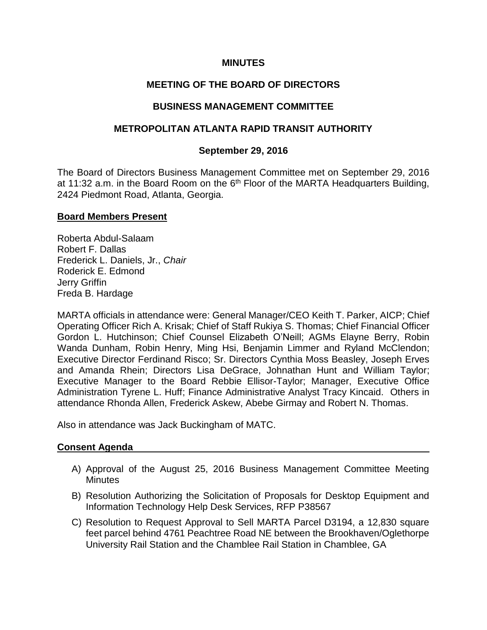#### **MINUTES**

# **MEETING OF THE BOARD OF DIRECTORS**

#### **BUSINESS MANAGEMENT COMMITTEE**

# **METROPOLITAN ATLANTA RAPID TRANSIT AUTHORITY**

#### **September 29, 2016**

The Board of Directors Business Management Committee met on September 29, 2016 at 11:32 a.m. in the Board Room on the  $6<sup>th</sup>$  Floor of the MARTA Headquarters Building, 2424 Piedmont Road, Atlanta, Georgia.

#### **Board Members Present**

Roberta Abdul-Salaam Robert F. Dallas Frederick L. Daniels, Jr., *Chair* Roderick E. Edmond Jerry Griffin Freda B. Hardage

MARTA officials in attendance were: General Manager/CEO Keith T. Parker, AICP; Chief Operating Officer Rich A. Krisak; Chief of Staff Rukiya S. Thomas; Chief Financial Officer Gordon L. Hutchinson; Chief Counsel Elizabeth O'Neill; AGMs Elayne Berry, Robin Wanda Dunham, Robin Henry, Ming Hsi, Benjamin Limmer and Ryland McClendon; Executive Director Ferdinand Risco; Sr. Directors Cynthia Moss Beasley, Joseph Erves and Amanda Rhein; Directors Lisa DeGrace, Johnathan Hunt and William Taylor; Executive Manager to the Board Rebbie Ellisor-Taylor; Manager, Executive Office Administration Tyrene L. Huff; Finance Administrative Analyst Tracy Kincaid. Others in attendance Rhonda Allen, Frederick Askew, Abebe Girmay and Robert N. Thomas.

Also in attendance was Jack Buckingham of MATC.

# **Consent Agenda**

- A) Approval of the August 25, 2016 Business Management Committee Meeting **Minutes**
- B) Resolution Authorizing the Solicitation of Proposals for Desktop Equipment and Information Technology Help Desk Services, RFP P38567
- C) Resolution to Request Approval to Sell MARTA Parcel D3194, a 12,830 square feet parcel behind 4761 Peachtree Road NE between the Brookhaven/Oglethorpe University Rail Station and the Chamblee Rail Station in Chamblee, GA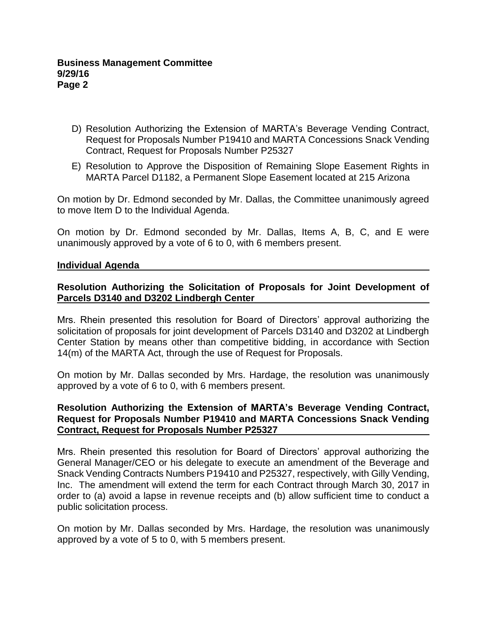- D) Resolution Authorizing the Extension of MARTA's Beverage Vending Contract, Request for Proposals Number P19410 and MARTA Concessions Snack Vending Contract, Request for Proposals Number P25327
- E) Resolution to Approve the Disposition of Remaining Slope Easement Rights in MARTA Parcel D1182, a Permanent Slope Easement located at 215 Arizona

On motion by Dr. Edmond seconded by Mr. Dallas, the Committee unanimously agreed to move Item D to the Individual Agenda.

On motion by Dr. Edmond seconded by Mr. Dallas, Items A, B, C, and E were unanimously approved by a vote of 6 to 0, with 6 members present.

#### **Individual Agenda**

# **Resolution Authorizing the Solicitation of Proposals for Joint Development of Parcels D3140 and D3202 Lindbergh Center**

Mrs. Rhein presented this resolution for Board of Directors' approval authorizing the solicitation of proposals for joint development of Parcels D3140 and D3202 at Lindbergh Center Station by means other than competitive bidding, in accordance with Section 14(m) of the MARTA Act, through the use of Request for Proposals.

On motion by Mr. Dallas seconded by Mrs. Hardage, the resolution was unanimously approved by a vote of 6 to 0, with 6 members present.

#### **Resolution Authorizing the Extension of MARTA's Beverage Vending Contract, Request for Proposals Number P19410 and MARTA Concessions Snack Vending Contract, Request for Proposals Number P25327**

Mrs. Rhein presented this resolution for Board of Directors' approval authorizing the General Manager/CEO or his delegate to execute an amendment of the Beverage and Snack Vending Contracts Numbers P19410 and P25327, respectively, with Gilly Vending, Inc. The amendment will extend the term for each Contract through March 30, 2017 in order to (a) avoid a lapse in revenue receipts and (b) allow sufficient time to conduct a public solicitation process.

On motion by Mr. Dallas seconded by Mrs. Hardage, the resolution was unanimously approved by a vote of 5 to 0, with 5 members present.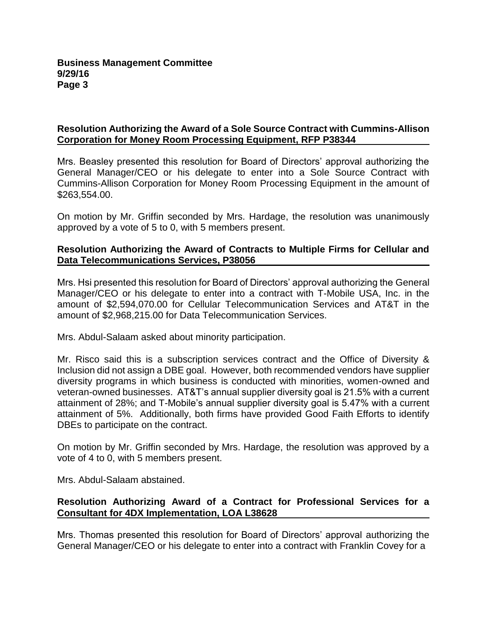# **Resolution Authorizing the Award of a Sole Source Contract with Cummins-Allison Corporation for Money Room Processing Equipment, RFP P38344**

Mrs. Beasley presented this resolution for Board of Directors' approval authorizing the General Manager/CEO or his delegate to enter into a Sole Source Contract with Cummins-Allison Corporation for Money Room Processing Equipment in the amount of \$263,554.00.

On motion by Mr. Griffin seconded by Mrs. Hardage, the resolution was unanimously approved by a vote of 5 to 0, with 5 members present.

# **Resolution Authorizing the Award of Contracts to Multiple Firms for Cellular and Data Telecommunications Services, P38056**

Mrs. Hsi presented this resolution for Board of Directors' approval authorizing the General Manager/CEO or his delegate to enter into a contract with T-Mobile USA, Inc. in the amount of \$2,594,070.00 for Cellular Telecommunication Services and AT&T in the amount of \$2,968,215.00 for Data Telecommunication Services.

Mrs. Abdul-Salaam asked about minority participation.

Mr. Risco said this is a subscription services contract and the Office of Diversity & Inclusion did not assign a DBE goal. However, both recommended vendors have supplier diversity programs in which business is conducted with minorities, women-owned and veteran-owned businesses. AT&T's annual supplier diversity goal is 21.5% with a current attainment of 28%; and T-Mobile's annual supplier diversity goal is 5.47% with a current attainment of 5%. Additionally, both firms have provided Good Faith Efforts to identify DBEs to participate on the contract.

On motion by Mr. Griffin seconded by Mrs. Hardage, the resolution was approved by a vote of 4 to 0, with 5 members present.

Mrs. Abdul-Salaam abstained.

# **Resolution Authorizing Award of a Contract for Professional Services for a Consultant for 4DX Implementation, LOA L38628**

Mrs. Thomas presented this resolution for Board of Directors' approval authorizing the General Manager/CEO or his delegate to enter into a contract with Franklin Covey for a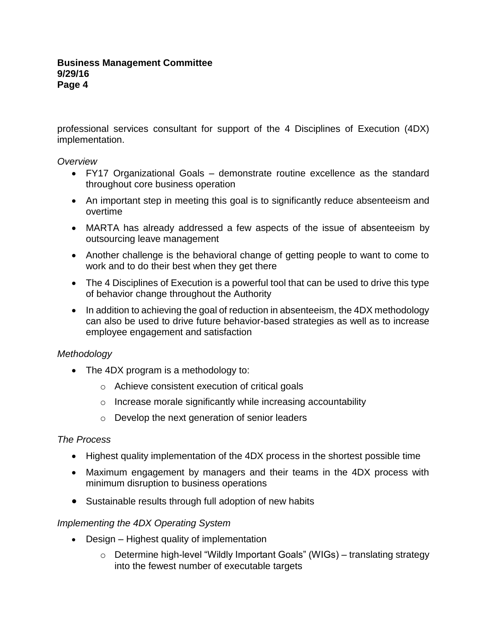professional services consultant for support of the 4 Disciplines of Execution (4DX) implementation.

#### *Overview*

- FY17 Organizational Goals demonstrate routine excellence as the standard throughout core business operation
- An important step in meeting this goal is to significantly reduce absenteeism and overtime
- MARTA has already addressed a few aspects of the issue of absenteeism by outsourcing leave management
- Another challenge is the behavioral change of getting people to want to come to work and to do their best when they get there
- The 4 Disciplines of Execution is a powerful tool that can be used to drive this type of behavior change throughout the Authority
- In addition to achieving the goal of reduction in absenteeism, the 4DX methodology can also be used to drive future behavior-based strategies as well as to increase employee engagement and satisfaction

# *Methodology*

- The 4DX program is a methodology to:
	- o Achieve consistent execution of critical goals
	- o Increase morale significantly while increasing accountability
	- o Develop the next generation of senior leaders

# *The Process*

- Highest quality implementation of the 4DX process in the shortest possible time
- Maximum engagement by managers and their teams in the 4DX process with minimum disruption to business operations
- Sustainable results through full adoption of new habits

# *Implementing the 4DX Operating System*

- Design Highest quality of implementation
	- o Determine high-level "Wildly Important Goals" (WIGs) translating strategy into the fewest number of executable targets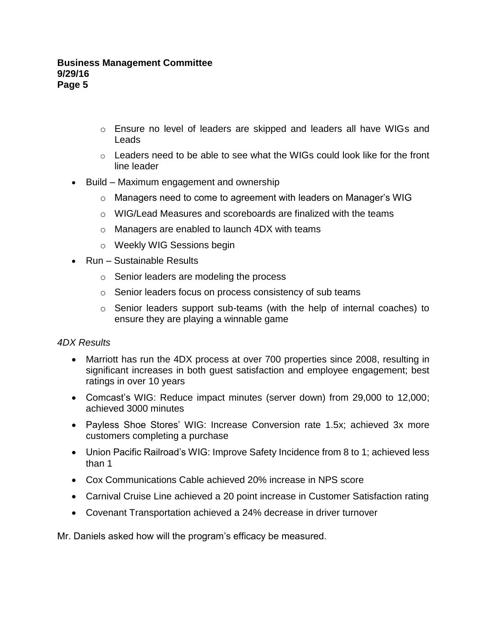#### **Business Management Committee 9/29/16 Page 5**

- $\circ$  Ensure no level of leaders are skipped and leaders all have WIGs and Leads
- $\circ$  Leaders need to be able to see what the WIGs could look like for the front line leader
- Build Maximum engagement and ownership
	- $\circ$  Managers need to come to agreement with leaders on Manager's WIG
	- o WIG/Lead Measures and scoreboards are finalized with the teams
	- o Managers are enabled to launch 4DX with teams
	- o Weekly WIG Sessions begin
- Run Sustainable Results
	- o Senior leaders are modeling the process
	- o Senior leaders focus on process consistency of sub teams
	- o Senior leaders support sub-teams (with the help of internal coaches) to ensure they are playing a winnable game

# *4DX Results*

- Marriott has run the 4DX process at over 700 properties since 2008, resulting in significant increases in both guest satisfaction and employee engagement; best ratings in over 10 years
- Comcast's WIG: Reduce impact minutes (server down) from 29,000 to 12,000; achieved 3000 minutes
- Payless Shoe Stores' WIG: Increase Conversion rate 1.5x; achieved 3x more customers completing a purchase
- Union Pacific Railroad's WIG: Improve Safety Incidence from 8 to 1; achieved less than 1
- Cox Communications Cable achieved 20% increase in NPS score
- Carnival Cruise Line achieved a 20 point increase in Customer Satisfaction rating
- Covenant Transportation achieved a 24% decrease in driver turnover

Mr. Daniels asked how will the program's efficacy be measured.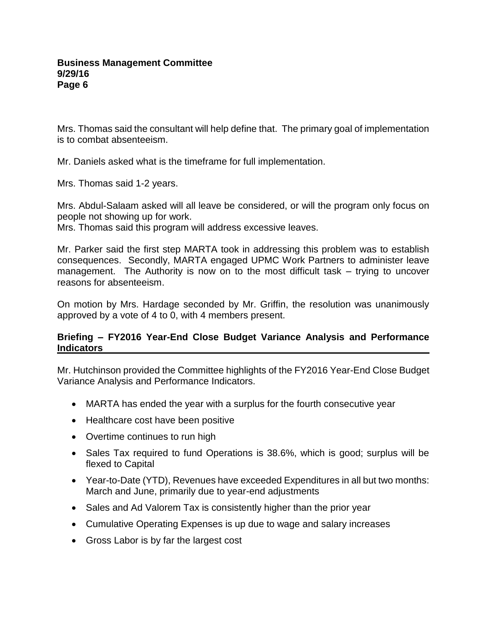Mrs. Thomas said the consultant will help define that. The primary goal of implementation is to combat absenteeism.

Mr. Daniels asked what is the timeframe for full implementation.

Mrs. Thomas said 1-2 years.

Mrs. Abdul-Salaam asked will all leave be considered, or will the program only focus on people not showing up for work.

Mrs. Thomas said this program will address excessive leaves.

Mr. Parker said the first step MARTA took in addressing this problem was to establish consequences. Secondly, MARTA engaged UPMC Work Partners to administer leave management. The Authority is now on to the most difficult task – trying to uncover reasons for absenteeism.

On motion by Mrs. Hardage seconded by Mr. Griffin, the resolution was unanimously approved by a vote of 4 to 0, with 4 members present.

# **Briefing – FY2016 Year-End Close Budget Variance Analysis and Performance Indicators**

Mr. Hutchinson provided the Committee highlights of the FY2016 Year-End Close Budget Variance Analysis and Performance Indicators.

- MARTA has ended the year with a surplus for the fourth consecutive year
- Healthcare cost have been positive
- Overtime continues to run high
- Sales Tax required to fund Operations is 38.6%, which is good; surplus will be flexed to Capital
- Year-to-Date (YTD), Revenues have exceeded Expenditures in all but two months: March and June, primarily due to year-end adjustments
- Sales and Ad Valorem Tax is consistently higher than the prior year
- Cumulative Operating Expenses is up due to wage and salary increases
- Gross Labor is by far the largest cost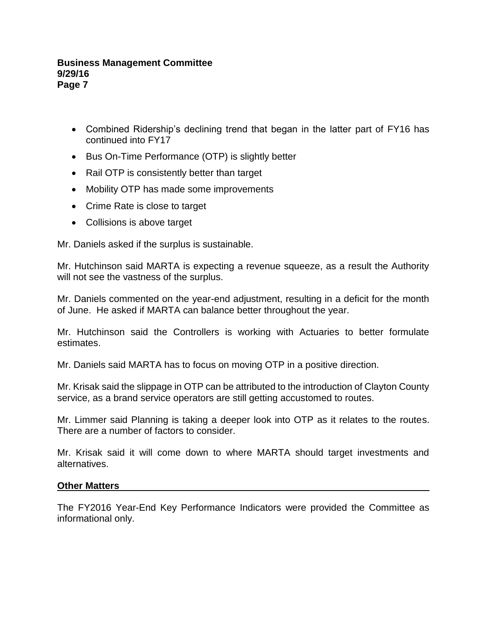#### **Business Management Committee 9/29/16 Page 7**

- Combined Ridership's declining trend that began in the latter part of FY16 has continued into FY17
- Bus On-Time Performance (OTP) is slightly better
- Rail OTP is consistently better than target
- Mobility OTP has made some improvements
- Crime Rate is close to target
- Collisions is above target

Mr. Daniels asked if the surplus is sustainable.

Mr. Hutchinson said MARTA is expecting a revenue squeeze, as a result the Authority will not see the vastness of the surplus.

Mr. Daniels commented on the year-end adjustment, resulting in a deficit for the month of June. He asked if MARTA can balance better throughout the year.

Mr. Hutchinson said the Controllers is working with Actuaries to better formulate estimates.

Mr. Daniels said MARTA has to focus on moving OTP in a positive direction.

Mr. Krisak said the slippage in OTP can be attributed to the introduction of Clayton County service, as a brand service operators are still getting accustomed to routes.

Mr. Limmer said Planning is taking a deeper look into OTP as it relates to the routes. There are a number of factors to consider.

Mr. Krisak said it will come down to where MARTA should target investments and alternatives.

#### **Other Matters**

The FY2016 Year-End Key Performance Indicators were provided the Committee as informational only.